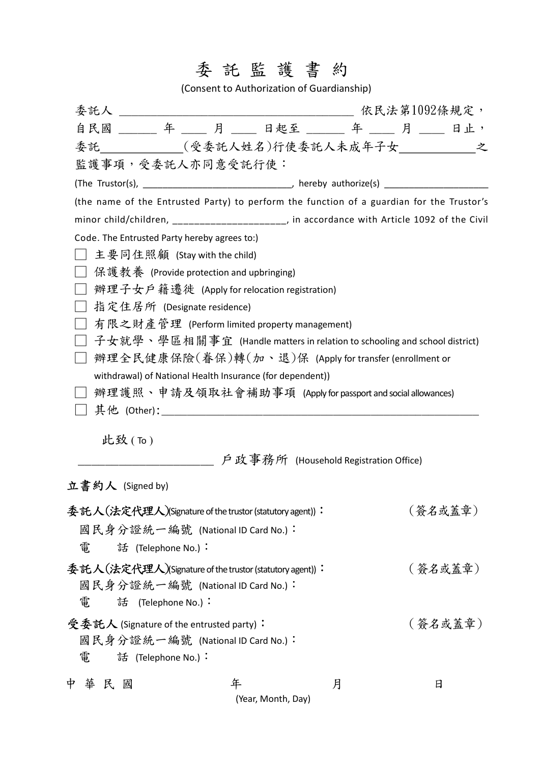## 委託監護書約

(Consent to Authorization of Guardianship)

|                                              |                    |                                          | 自民國 ______ 年 ____ 月 ____ 日起至 ______ 年 ____ 月 ____ 日止,                                     |  |  |         |  |  |  |
|----------------------------------------------|--------------------|------------------------------------------|-------------------------------------------------------------------------------------------|--|--|---------|--|--|--|
|                                              |                    |                                          | 委託___________(受委託人姓名)行使委託人未成年子女_________________之                                         |  |  |         |  |  |  |
| 監護事項,受委託人亦同意受託行使:                            |                    |                                          |                                                                                           |  |  |         |  |  |  |
|                                              |                    |                                          |                                                                                           |  |  |         |  |  |  |
|                                              |                    |                                          | (the name of the Entrusted Party) to perform the function of a guardian for the Trustor's |  |  |         |  |  |  |
|                                              |                    |                                          | minor child/children, ____________________, in accordance with Article 1092 of the Civil  |  |  |         |  |  |  |
| Code. The Entrusted Party hereby agrees to:) |                    |                                          |                                                                                           |  |  |         |  |  |  |
|                                              |                    | 主要同住照顧 (Stay with the child)             |                                                                                           |  |  |         |  |  |  |
|                                              |                    | 保護教養 (Provide protection and upbringing) |                                                                                           |  |  |         |  |  |  |
| 辦理子女戶籍遷徙 (Apply for relocation registration) |                    |                                          |                                                                                           |  |  |         |  |  |  |
|                                              |                    | 指定住居所 (Designate residence)              |                                                                                           |  |  |         |  |  |  |
|                                              |                    |                                          | 有限之財產管理 (Perform limited property management)                                             |  |  |         |  |  |  |
|                                              |                    |                                          | 子女就學、學區相關事宜 (Handle matters in relation to schooling and school district)                 |  |  |         |  |  |  |
|                                              |                    |                                          | 辦理全民健康保險(眷保)轉(加、退)保 (Apply for transfer (enrollment or                                    |  |  |         |  |  |  |
|                                              |                    |                                          | withdrawal) of National Health Insurance (for dependent))                                 |  |  |         |  |  |  |
|                                              |                    |                                          | 辦理護照丶申請及領取社會補助事項 (Apply for passport and social allowances)                               |  |  |         |  |  |  |
|                                              |                    |                                          |                                                                                           |  |  |         |  |  |  |
| 此致 $($ To $)$                                |                    |                                          |                                                                                           |  |  |         |  |  |  |
|                                              |                    |                                          |                                                                                           |  |  |         |  |  |  |
| 立書約人 (Signed by)                             |                    |                                          |                                                                                           |  |  |         |  |  |  |
|                                              |                    |                                          | 委託人(法定代理人)(Signature of the trustor (statutory agent)):                                   |  |  | (簽名或蓋章) |  |  |  |
| 國民身分證統一編號 (National ID Card No.):            |                    |                                          |                                                                                           |  |  |         |  |  |  |
| 雷                                            | 話 (Telephone No.): |                                          |                                                                                           |  |  |         |  |  |  |
|                                              |                    |                                          | 委託人(法定代理人)(Signature of the trustor (statutory agent)):                                   |  |  | (簽名或蓋章) |  |  |  |
| 國民身分證統一編號 (National ID Card No.):            |                    |                                          |                                                                                           |  |  |         |  |  |  |
| 審                                            | 話 (Telephone No.): |                                          |                                                                                           |  |  |         |  |  |  |
| 受委託人 (Signature of the entrusted party):     |                    |                                          |                                                                                           |  |  | (簽名或蓋章) |  |  |  |
| 國民身分證統一編號 (National ID Card No.):            |                    |                                          |                                                                                           |  |  |         |  |  |  |
| 電                                            | 話 (Telephone No.): |                                          |                                                                                           |  |  |         |  |  |  |

|                    |  | 中華民國 |  |  |  |  |
|--------------------|--|------|--|--|--|--|
| (Year, Month, Day) |  |      |  |  |  |  |